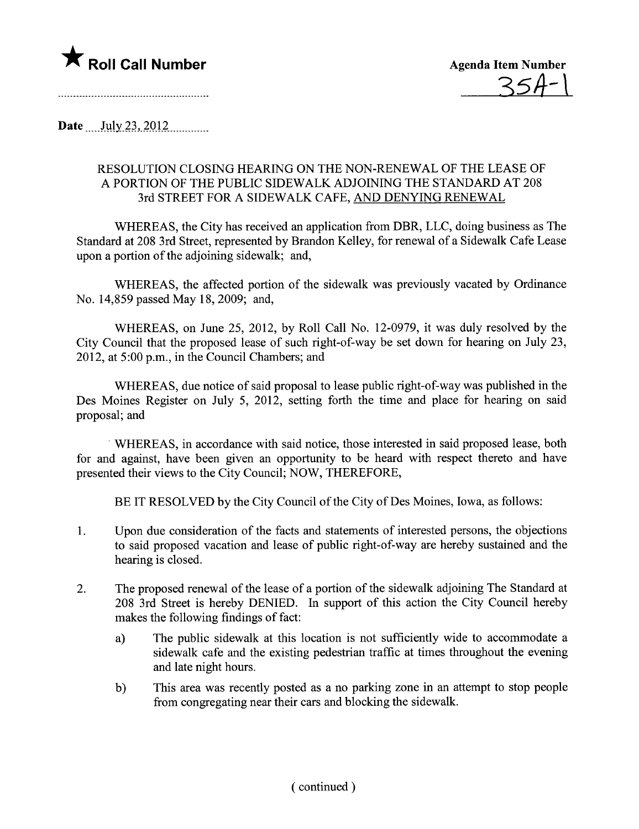



Date  $_{\text{July 23, 2012}}$ 

## RESOLUTION CLOSING HEARING ON THE NON-RENEWAL OF THE LEASE OF A PORTION OF THE PUBLIC SIDEWALK ADJOINING THE STANDARD AT 208 3rd STREET FOR A SIDEWALK CAFE, AND DENYING RENEWAL

WHEREAS, the City has received an application from DBR, LLC, doing business as The Standard at 208 3rd Street, represented by Brandon Kelley, for renewal of a Sidewalk Cafe Lease upon a portion of the adjoining sidewalk; and,

WHEREAS, the affected portion of the sidewalk was previously vacated by Ordinance No. 14,859 passed May 18, 2009; and,

WHEREAS, on June 25, 2012, by Roll Call No. 12-0979, it was duly resolved by the City Council that the proposed lease of such right-of-way be set down for hearing on July 23, 2012, at 5:00 p.m., in the Council Chambers; and

WHEREAS, due notice of said proposal to lease public right-of-way was published in the Des Moines Register on July 5, 2012, setting forth the time and place for hearing on said proposal; and

. WHEREAS, in accordance with said notice, those interested in said proposed lease, both for and against, have been given an opportunity to be heard with respect thereto and have presented their views to the City Council; NOW, THEREFORE,

BE IT RESOLVED by the City Council of the City of Des Moines, Iowa, as follows:

- 1. Upon due consideration of the facts and statements of interested persons, the objections to said proposed vacation and lease of public right-of-way are hereby sustained and the hearing is closed.
- 2. The proposed renewal of the lease of a portion of the sidewalk adjoining The Standard at 208 3rd Street is hereby DENIED. In support of this action the City Council hereby makes the following findings of fact:
	- a) The public sidewalk at this location is not sufficiently wide to accommodate a sidewalk cafe and the existing pedestrian traffic at times throughout the evening and late night hours.
	- b) This area was recently posted as a no parking zone in an attempt to stop people from congregating near their cars and blocking the sidewalk.